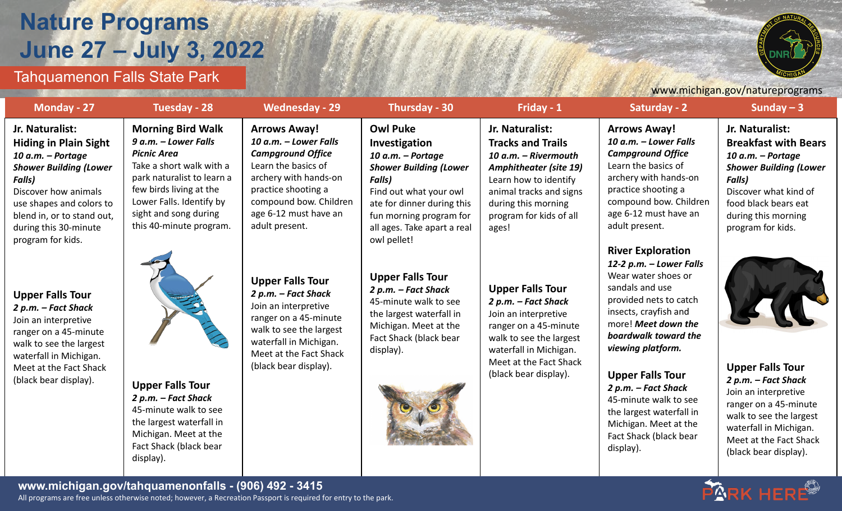## **Nature Programs June 27 – July 3, 2022**



## Tahquamenon Falls State Park

|                                                                                                                                                                                                                                                        |                                                                                                                                                                                                                                             |                                                                                                                                                                                                                      | www.michigan.gov/natureprograms                                                                                                                                                                                                          |                                                                                                                                                                                                                     |                                                                                                                                                                                                                                                                                                                                                      |                                                                                                                                                                                                             |  |
|--------------------------------------------------------------------------------------------------------------------------------------------------------------------------------------------------------------------------------------------------------|---------------------------------------------------------------------------------------------------------------------------------------------------------------------------------------------------------------------------------------------|----------------------------------------------------------------------------------------------------------------------------------------------------------------------------------------------------------------------|------------------------------------------------------------------------------------------------------------------------------------------------------------------------------------------------------------------------------------------|---------------------------------------------------------------------------------------------------------------------------------------------------------------------------------------------------------------------|------------------------------------------------------------------------------------------------------------------------------------------------------------------------------------------------------------------------------------------------------------------------------------------------------------------------------------------------------|-------------------------------------------------------------------------------------------------------------------------------------------------------------------------------------------------------------|--|
| Monday - 27                                                                                                                                                                                                                                            | Tuesday - 28                                                                                                                                                                                                                                | <b>Wednesday - 29</b>                                                                                                                                                                                                | Thursday - 30                                                                                                                                                                                                                            | Friday - 1                                                                                                                                                                                                          | Saturday - 2                                                                                                                                                                                                                                                                                                                                         | Sunday $-3$                                                                                                                                                                                                 |  |
| Jr. Naturalist:<br><b>Hiding in Plain Sight</b><br>10 a.m. - Portage<br><b>Shower Building (Lower</b><br><b>Falls)</b><br>Discover how animals<br>use shapes and colors to<br>blend in, or to stand out,<br>during this 30-minute<br>program for kids. | <b>Morning Bird Walk</b><br>9 a.m. - Lower Falls<br><b>Picnic Area</b><br>Take a short walk with a<br>park naturalist to learn a<br>few birds living at the<br>Lower Falls. Identify by<br>sight and song during<br>this 40-minute program. | <b>Arrows Away!</b><br>10 a.m. - Lower Falls<br><b>Campground Office</b><br>Learn the basics of<br>archery with hands-on<br>practice shooting a<br>compound bow. Children<br>age 6-12 must have an<br>adult present. | <b>Owl Puke</b><br>Investigation<br>10 a.m. - Portage<br><b>Shower Building (Lower</b><br><b>Falls)</b><br>Find out what your owl<br>ate for dinner during this<br>fun morning program for<br>all ages. Take apart a real<br>owl pellet! | Jr. Naturalist:<br><b>Tracks and Trails</b><br>10 a.m. - Rivermouth<br><b>Amphitheater (site 19)</b><br>Learn how to identify<br>animal tracks and signs<br>during this morning<br>program for kids of all<br>ages! | <b>Arrows Away!</b><br>10 a.m. - Lower Falls<br><b>Campground Office</b><br>Learn the basics of<br>archery with hands-on<br>practice shooting a<br>compound bow. Children<br>age 6-12 must have an<br>adult present.                                                                                                                                 | Jr. Naturalist:<br><b>Breakfast with Bears</b><br>10 a.m. - Portage<br><b>Shower Building (Lower</b><br>Falls)<br>Discover what kind of<br>food black bears eat<br>during this morning<br>program for kids. |  |
| <b>Upper Falls Tour</b><br>2 p.m. - Fact Shack<br>Join an interpretive<br>ranger on a 45-minute<br>walk to see the largest<br>waterfall in Michigan.<br>Meet at the Fact Shack<br>(black bear display).                                                | <b>Upper Falls Tour</b><br>2 p.m. – Fact Shack<br>45-minute walk to see<br>the largest waterfall in                                                                                                                                         | <b>Upper Falls Tour</b><br>2 p.m. – Fact Shack<br>Join an interpretive<br>ranger on a 45-minute<br>walk to see the largest<br>waterfall in Michigan.<br>Meet at the Fact Shack<br>(black bear display).              | <b>Upper Falls Tour</b><br>2 p.m. – Fact Shack<br>45-minute walk to see<br>the largest waterfall in<br>Michigan. Meet at the<br>Fact Shack (black bear<br>display).                                                                      | <b>Upper Falls Tour</b><br>2 p.m. – Fact Shack<br>Join an interpretive<br>ranger on a 45-minute<br>walk to see the largest<br>waterfall in Michigan.<br>Meet at the Fact Shack<br>(black bear display).             | <b>River Exploration</b><br>12-2 p.m. - Lower Falls<br>Wear water shoes or<br>sandals and use<br>provided nets to catch<br>insects, crayfish and<br>more! Meet down the<br>boardwalk toward the<br>viewing platform.<br><b>Upper Falls Tour</b><br>2 p.m. – Fact Shack<br>45-minute walk to see<br>the largest waterfall in<br>Michigan. Meet at the | <b>Upper Falls Tour</b><br>2 p.m. – Fact Shack<br>Join an interpretive<br>ranger on a 45-minute<br>walk to see the largest                                                                                  |  |

waterfall in Michigan. Meet at the Fact Shack (black bear display).

Fact Shack (black bear

display).



**www.michigan.gov/tahquamenonfalls - (906) 492 - 3415** All programs are free unless otherwise noted; however, a Recreation Passport is required for entry to the park.

Michigan. Meet at the Fact Shack (black bear

display).